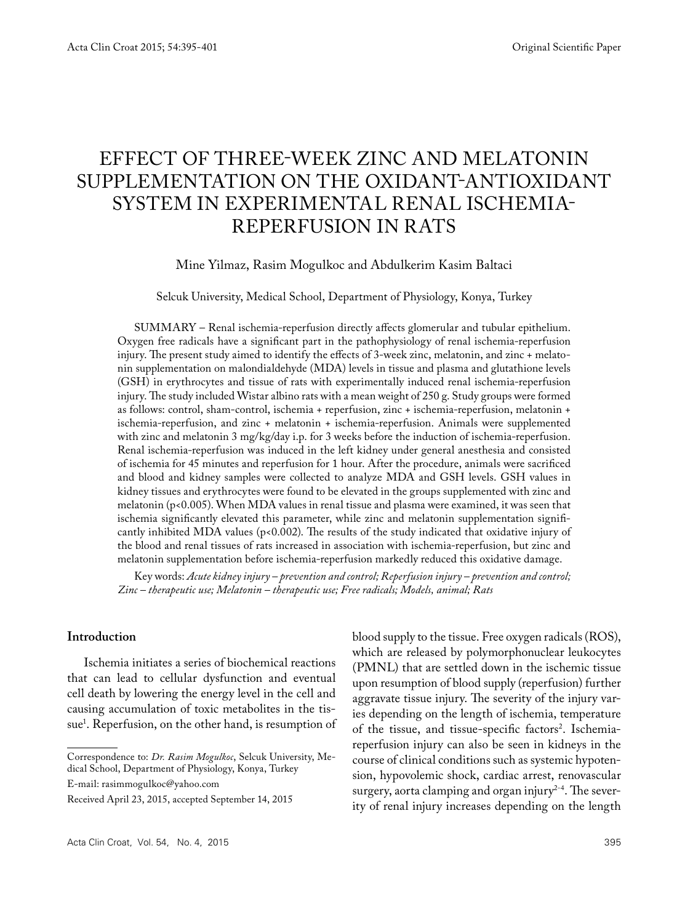# EFFECT OF THREE-WEEK ZINC AND MELATONIN SUPPLEMENTATION ON THE OXIDANT-ANTIOXIDANT SYSTEM IN EXPERIMENTAL RENAL ISCHEMIA-REPERFUSION IN RATS

Mine Yilmaz, Rasim Mogulkoc and Abdulkerim Kasim Baltaci

Selcuk University, Medical School, Department of Physiology, Konya, Turkey

SUMMARY – Renal ischemia-reperfusion directly affects glomerular and tubular epithelium. Oxygen free radicals have a significant part in the pathophysiology of renal ischemia-reperfusion injury. The present study aimed to identify the effects of 3-week zinc, melatonin, and zinc + melatonin supplementation on malondialdehyde (MDA) levels in tissue and plasma and glutathione levels (GSH) in erythrocytes and tissue of rats with experimentally induced renal ischemia-reperfusion injury. The study included Wistar albino rats with a mean weight of 250 g. Study groups were formed as follows: control, sham-control, ischemia + reperfusion, zinc + ischemia-reperfusion, melatonin + ischemia-reperfusion, and zinc + melatonin + ischemia-reperfusion. Animals were supplemented with zinc and melatonin 3 mg/kg/day i.p. for 3 weeks before the induction of ischemia-reperfusion. Renal ischemia-reperfusion was induced in the left kidney under general anesthesia and consisted of ischemia for 45 minutes and reperfusion for 1 hour. After the procedure, animals were sacrificed and blood and kidney samples were collected to analyze MDA and GSH levels. GSH values in kidney tissues and erythrocytes were found to be elevated in the groups supplemented with zinc and melatonin (p<0.005). When MDA values in renal tissue and plasma were examined, it was seen that ischemia significantly elevated this parameter, while zinc and melatonin supplementation significantly inhibited MDA values ( $p<0.002$ ). The results of the study indicated that oxidative injury of the blood and renal tissues of rats increased in association with ischemia-reperfusion, but zinc and melatonin supplementation before ischemia-reperfusion markedly reduced this oxidative damage.

Key words: *Acute kidney injury – prevention and control; Reperfusion injury – prevention and control; Zinc – therapeutic use; Melatonin – therapeutic use; Free radicals; Models, animal; Rats*

# **Introduction**

Ischemia initiates a series of biochemical reactions that can lead to cellular dysfunction and eventual cell death by lowering the energy level in the cell and causing accumulation of toxic metabolites in the tissue1 . Reperfusion, on the other hand, is resumption of

Correspondence to: *Dr. Rasim Mogulkoc*, Selcuk University, Medical School, Department of Physiology, Konya, Turkey

E-mail: rasimmogulkoc@yahoo.com

of the tissue, and tissue-specific factors<sup>2</sup>. Ischemiareperfusion injury can also be seen in kidneys in the course of clinical conditions such as systemic hypotension, hypovolemic shock, cardiac arrest, renovascular surgery, aorta clamping and organ injury<sup>2-4</sup>. The severity of renal injury increases depending on the length

blood supply to the tissue. Free oxygen radicals (ROS), which are released by polymorphonuclear leukocytes (PMNL) that are settled down in the ischemic tissue upon resumption of blood supply (reperfusion) further aggravate tissue injury. The severity of the injury varies depending on the length of ischemia, temperature

Received April 23, 2015, accepted September 14, 2015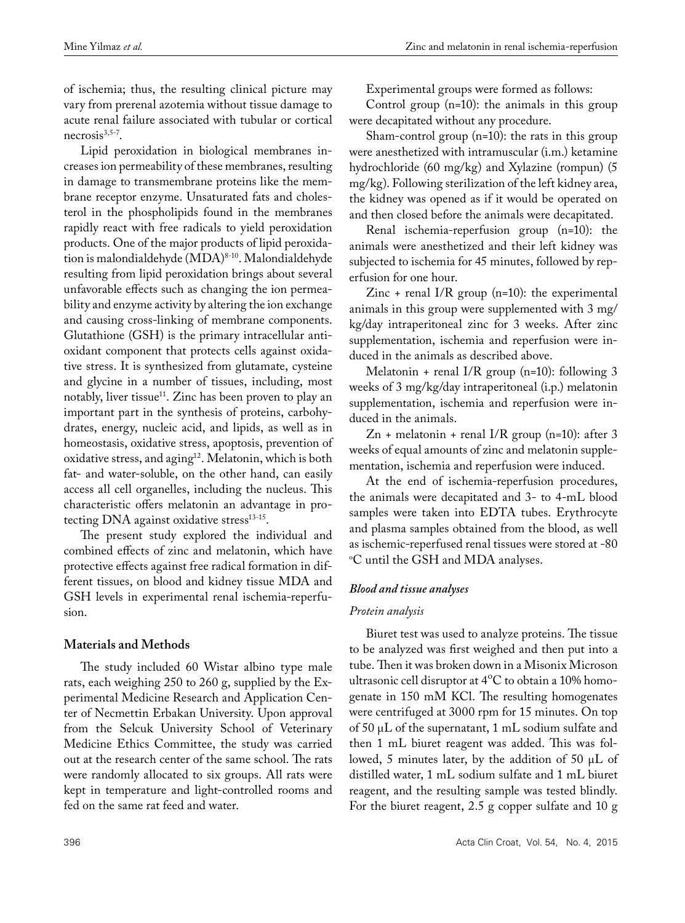of ischemia; thus, the resulting clinical picture may vary from prerenal azotemia without tissue damage to acute renal failure associated with tubular or cortical  $necrosis<sup>3,5-7</sup>$ .

Lipid peroxidation in biological membranes increases ion permeability of these membranes, resulting in damage to transmembrane proteins like the membrane receptor enzyme. Unsaturated fats and cholesterol in the phospholipids found in the membranes rapidly react with free radicals to yield peroxidation products. One of the major products of lipid peroxidation is malondialdehyde (MDA)8-10. Malondialdehyde resulting from lipid peroxidation brings about several unfavorable effects such as changing the ion permeability and enzyme activity by altering the ion exchange and causing cross-linking of membrane components. Glutathione (GSH) is the primary intracellular antioxidant component that protects cells against oxidative stress. It is synthesized from glutamate, cysteine and glycine in a number of tissues, including, most notably, liver tissue<sup>11</sup>. Zinc has been proven to play an important part in the synthesis of proteins, carbohydrates, energy, nucleic acid, and lipids, as well as in homeostasis, oxidative stress, apoptosis, prevention of oxidative stress, and aging<sup>12</sup>. Melatonin, which is both fat- and water-soluble, on the other hand, can easily access all cell organelles, including the nucleus. This characteristic offers melatonin an advantage in protecting DNA against oxidative stress<sup>13-15</sup>.

The present study explored the individual and combined effects of zinc and melatonin, which have protective effects against free radical formation in different tissues, on blood and kidney tissue MDA and GSH levels in experimental renal ischemia-reperfusion.

# **Materials and Methods**

The study included 60 Wistar albino type male rats, each weighing 250 to 260 g, supplied by the Experimental Medicine Research and Application Center of Necmettin Erbakan University. Upon approval from the Selcuk University School of Veterinary Medicine Ethics Committee, the study was carried out at the research center of the same school. The rats were randomly allocated to six groups. All rats were kept in temperature and light-controlled rooms and fed on the same rat feed and water.

Experimental groups were formed as follows:

Control group (n=10): the animals in this group were decapitated without any procedure.

Sham-control group (n=10): the rats in this group were anesthetized with intramuscular (i.m.) ketamine hydrochloride (60 mg/kg) and Xylazine (rompun) (5 mg/kg). Following sterilization of the left kidney area, the kidney was opened as if it would be operated on and then closed before the animals were decapitated.

Renal ischemia-reperfusion group (n=10): the animals were anesthetized and their left kidney was subjected to ischemia for 45 minutes, followed by reperfusion for one hour.

Zinc + renal  $I/R$  group (n=10): the experimental animals in this group were supplemented with 3 mg/ kg/day intraperitoneal zinc for 3 weeks. After zinc supplementation, ischemia and reperfusion were induced in the animals as described above.

Melatonin + renal I/R group (n=10): following 3 weeks of 3 mg/kg/day intraperitoneal (i.p.) melatonin supplementation, ischemia and reperfusion were induced in the animals.

 $Zn$  + melatonin + renal I/R group (n=10): after 3 weeks of equal amounts of zinc and melatonin supplementation, ischemia and reperfusion were induced.

At the end of ischemia-reperfusion procedures, the animals were decapitated and 3- to 4-mL blood samples were taken into EDTA tubes. Erythrocyte and plasma samples obtained from the blood, as well as ischemic-reperfused renal tissues were stored at -80  $\rm ^{\circ}C$  until the GSH and MDA analyses.

# *Blood and tissue analyses*

# *Protein analysis*

Biuret test was used to analyze proteins. The tissue to be analyzed was first weighed and then put into a tube. Then it was broken down in a Misonix Microson ultrasonic cell disruptor at  $4^{\circ}C$  to obtain a 10% homogenate in 150 mM KCl. The resulting homogenates were centrifuged at 3000 rpm for 15 minutes. On top of 50 µL of the supernatant, 1 mL sodium sulfate and then 1 mL biuret reagent was added. This was followed, 5 minutes later, by the addition of 50  $\mu$ L of distilled water, 1 mL sodium sulfate and 1 mL biuret reagent, and the resulting sample was tested blindly. For the biuret reagent, 2.5 g copper sulfate and 10 g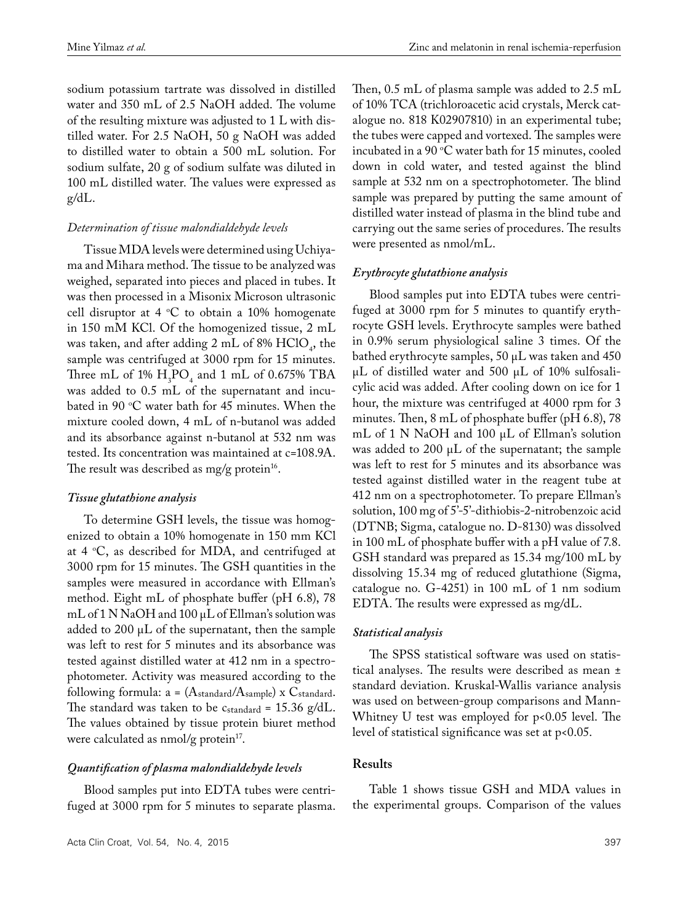sodium potassium tartrate was dissolved in distilled water and 350 mL of 2.5 NaOH added. The volume of the resulting mixture was adjusted to 1 L with distilled water. For 2.5 NaOH, 50 g NaOH was added to distilled water to obtain a 500 mL solution. For sodium sulfate, 20 g of sodium sulfate was diluted in 100 mL distilled water. The values were expressed as g/dL.

## *Determination of tissue malondialdehyde levels*

Tissue MDA levels were determined using Uchiyama and Mihara method. The tissue to be analyzed was weighed, separated into pieces and placed in tubes. It was then processed in a Misonix Microson ultrasonic cell disruptor at 4 °C to obtain a 10% homogenate in 150 mM KCl. Of the homogenized tissue, 2 mL was taken, and after adding 2 mL of  $8\%$  HClO<sub>4</sub>, the sample was centrifuged at 3000 rpm for 15 minutes. Three mL of 1%  $H_3PO_4$  and 1 mL of 0.675% TBA was added to 0.5 mL of the supernatant and incubated in 90 °C water bath for 45 minutes. When the mixture cooled down, 4 mL of n-butanol was added and its absorbance against n-butanol at 532 nm was tested. Its concentration was maintained at c=108.9A. The result was described as mg/g protein<sup>16</sup>.

#### *Tissue glutathione analysis*

To determine GSH levels, the tissue was homogenized to obtain a 10% homogenate in 150 mm KCl at 4 °C, as described for MDA, and centrifuged at 3000 rpm for 15 minutes. The GSH quantities in the samples were measured in accordance with Ellman's method. Eight mL of phosphate buffer (pH 6.8), 78 mL of 1 N NaOH and 100  $\mu$ L of Ellman's solution was added to  $200 \mu L$  of the supernatant, then the sample was left to rest for 5 minutes and its absorbance was tested against distilled water at 412 nm in a spectrophotometer. Activity was measured according to the following formula:  $a = (A_{standard}/A_{sample})$  x  $C_{standard}$ . The standard was taken to be  $c_{standard} = 15.36$  g/dL. The values obtained by tissue protein biuret method were calculated as  $nmol/g$  protein<sup>17</sup>.

#### *Quantification of plasma malondialdehyde levels*

Blood samples put into EDTA tubes were centrifuged at 3000 rpm for 5 minutes to separate plasma. Then, 0.5 mL of plasma sample was added to 2.5 mL of 10% TCA (trichloroacetic acid crystals, Merck catalogue no. 818 K02907810) in an experimental tube; the tubes were capped and vortexed. The samples were incubated in a  $90 °C$  water bath for 15 minutes, cooled down in cold water, and tested against the blind sample at 532 nm on a spectrophotometer. The blind sample was prepared by putting the same amount of distilled water instead of plasma in the blind tube and carrying out the same series of procedures. The results were presented as nmol/mL.

## *Erythrocyte glutathione analysis*

Blood samples put into EDTA tubes were centrifuged at 3000 rpm for 5 minutes to quantify erythrocyte GSH levels. Erythrocyte samples were bathed in 0.9% serum physiological saline 3 times. Of the bathed erythrocyte samples, 50 µL was taken and 450  $\mu$ L of distilled water and 500  $\mu$ L of 10% sulfosalicylic acid was added. After cooling down on ice for 1 hour, the mixture was centrifuged at 4000 rpm for 3 minutes. Then, 8 mL of phosphate buffer (pH 6.8), 78 mL of 1 N NaOH and 100 µL of Ellman's solution was added to 200  $\mu$ L of the supernatant; the sample was left to rest for 5 minutes and its absorbance was tested against distilled water in the reagent tube at 412 nm on a spectrophotometer. To prepare Ellman's solution, 100 mg of 5'-5'-dithiobis-2-nitrobenzoic acid (DTNB; Sigma, catalogue no. D-8130) was dissolved in 100 mL of phosphate buffer with a pH value of 7.8. GSH standard was prepared as 15.34 mg/100 mL by dissolving 15.34 mg of reduced glutathione (Sigma, catalogue no. G-4251) in 100 mL of 1 nm sodium EDTA. The results were expressed as mg/dL.

#### *Statistical analysis*

The SPSS statistical software was used on statistical analyses. The results were described as mean ± standard deviation. Kruskal-Wallis variance analysis was used on between-group comparisons and Mann-Whitney U test was employed for p<0.05 level. The level of statistical significance was set at p<0.05.

# **Results**

Table 1 shows tissue GSH and MDA values in the experimental groups. Comparison of the values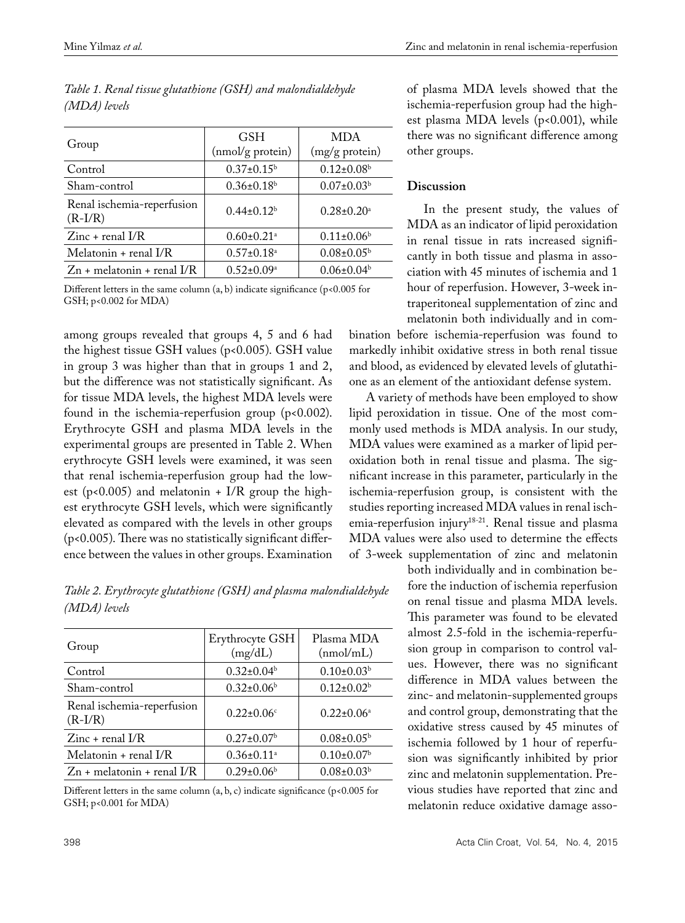|                                         | <b>GSH</b>                   | <b>MDA</b>                   |  |
|-----------------------------------------|------------------------------|------------------------------|--|
| Group                                   | (nmol/g protein)             | (mg/g protein)               |  |
| Control                                 | $0.37 \pm 0.15^b$            | $0.12 \pm 0.08$ <sup>b</sup> |  |
| Sham-control                            | $0.36 \pm 0.18$ <sup>b</sup> | $0.07 \pm 0.03^b$            |  |
| Renal ischemia-reperfusion<br>$(R-I/R)$ | $0.44 \pm 0.12^b$            | $0.28 \pm 0.20$ <sup>a</sup> |  |
| $Zinc + \text{real } I/R$               | $0.60 \pm 0.21$ <sup>a</sup> | $0.11\pm0.06b$               |  |
| Melatonin + renal I/R                   | $0.57 \pm 0.18$ <sup>a</sup> | $0.08 \pm 0.05^{\rm b}$      |  |
| $Zn$ + melatonin + renal I/R            | $0.52 \pm 0.09^{\rm a}$      | $0.06 \pm 0.04$              |  |

|              |  | Table 1. Renal tissue glutathione (GSH) and malondialdehyde |  |  |
|--------------|--|-------------------------------------------------------------|--|--|
| (MDA) levels |  |                                                             |  |  |

Different letters in the same column  $(a, b)$  indicate significance ( $p < 0.005$  for GSH; p<0.002 for MDA)

among groups revealed that groups 4, 5 and 6 had the highest tissue GSH values (p<0.005). GSH value in group 3 was higher than that in groups 1 and 2, but the difference was not statistically significant. As for tissue MDA levels, the highest MDA levels were found in the ischemia-reperfusion group (p<0.002). Erythrocyte GSH and plasma MDA levels in the experimental groups are presented in Table 2. When erythrocyte GSH levels were examined, it was seen that renal ischemia-reperfusion group had the lowest ( $p$ <0.005) and melatonin + I/R group the highest erythrocyte GSH levels, which were significantly elevated as compared with the levels in other groups (p<0.005). There was no statistically significant difference between the values in other groups. Examination

*Table 2. Erythrocyte glutathione (GSH) and plasma malondialdehyde (MDA) levels*

| Group                                   | Erythrocyte GSH<br>(mg/dL)   | Plasma MDA<br>(mmol/mL)    |
|-----------------------------------------|------------------------------|----------------------------|
| Control                                 | $0.32 \pm 0.04$ <sup>b</sup> | $0.10\pm0.03^b$            |
| Sham-control                            | $0.32 \pm 0.06$ <sup>b</sup> | $0.12{\pm}0.02^{\rm b}$    |
| Renal ischemia-reperfusion<br>$(R-I/R)$ | $0.22 \pm 0.06$ <sup>c</sup> | $0.22 \pm 0.06^{\text{a}}$ |
| $Zinc + \text{real } I/R$               | $0.27 \pm 0.07$ <sup>b</sup> | $0.08 \pm 0.05^{\rm b}$    |
| Melatonin + renal I/R                   | $0.36 \pm 0.11$ <sup>a</sup> | $0.10\pm0.07^{\rm b}$      |
| $Zn$ + melatonin + renal I/R            | $0.29 \pm 0.06$ <sup>b</sup> | $0.08 \pm 0.03^b$          |

Different letters in the same column (a, b, c) indicate significance (p<0.005 for GSH; p<0.001 for MDA)

of plasma MDA levels showed that the ischemia-reperfusion group had the highest plasma MDA levels (p<0.001), while there was no significant difference among other groups.

# **Discussion**

In the present study, the values of MDA as an indicator of lipid peroxidation in renal tissue in rats increased significantly in both tissue and plasma in association with 45 minutes of ischemia and 1 hour of reperfusion. However, 3-week intraperitoneal supplementation of zinc and melatonin both individually and in com-

bination before ischemia-reperfusion was found to markedly inhibit oxidative stress in both renal tissue and blood, as evidenced by elevated levels of glutathione as an element of the antioxidant defense system.

A variety of methods have been employed to show lipid peroxidation in tissue. One of the most commonly used methods is MDA analysis. In our study, MDA values were examined as a marker of lipid peroxidation both in renal tissue and plasma. The significant increase in this parameter, particularly in the ischemia-reperfusion group, is consistent with the studies reporting increased MDA values in renal ischemia-reperfusion injury<sup>18-21</sup>. Renal tissue and plasma MDA values were also used to determine the effects of 3-week supplementation of zinc and melatonin

> both individually and in combination before the induction of ischemia reperfusion on renal tissue and plasma MDA levels. This parameter was found to be elevated almost 2.5-fold in the ischemia-reperfusion group in comparison to control values. However, there was no significant difference in MDA values between the zinc- and melatonin-supplemented groups and control group, demonstrating that the oxidative stress caused by 45 minutes of ischemia followed by 1 hour of reperfusion was significantly inhibited by prior zinc and melatonin supplementation. Previous studies have reported that zinc and melatonin reduce oxidative damage asso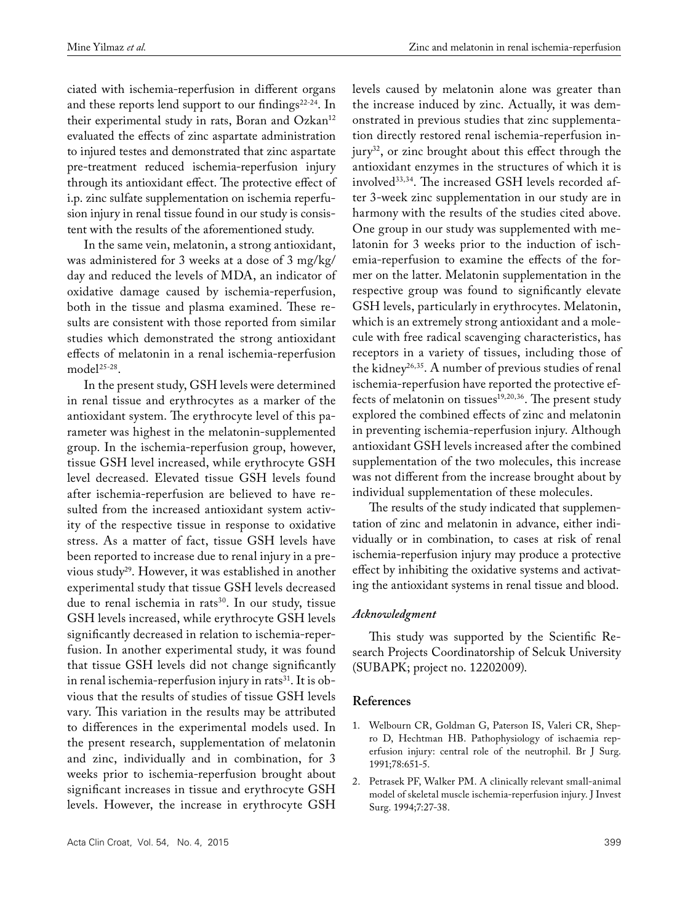ciated with ischemia-reperfusion in different organs and these reports lend support to our findings<sup>22-24</sup>. In their experimental study in rats, Boran and Ozkan<sup>12</sup> evaluated the effects of zinc aspartate administration to injured testes and demonstrated that zinc aspartate pre-treatment reduced ischemia-reperfusion injury through its antioxidant effect. The protective effect of i.p. zinc sulfate supplementation on ischemia reperfusion injury in renal tissue found in our study is consistent with the results of the aforementioned study.

In the same vein, melatonin, a strong antioxidant, was administered for 3 weeks at a dose of 3 mg/kg/ day and reduced the levels of MDA, an indicator of oxidative damage caused by ischemia-reperfusion, both in the tissue and plasma examined. These results are consistent with those reported from similar studies which demonstrated the strong antioxidant effects of melatonin in a renal ischemia-reperfusion model<sup>25-28</sup>.

In the present study, GSH levels were determined in renal tissue and erythrocytes as a marker of the antioxidant system. The erythrocyte level of this parameter was highest in the melatonin-supplemented group. In the ischemia-reperfusion group, however, tissue GSH level increased, while erythrocyte GSH level decreased. Elevated tissue GSH levels found after ischemia-reperfusion are believed to have resulted from the increased antioxidant system activity of the respective tissue in response to oxidative stress. As a matter of fact, tissue GSH levels have been reported to increase due to renal injury in a previous study29. However, it was established in another experimental study that tissue GSH levels decreased due to renal ischemia in rats<sup>30</sup>. In our study, tissue GSH levels increased, while erythrocyte GSH levels significantly decreased in relation to ischemia-reperfusion. In another experimental study, it was found that tissue GSH levels did not change significantly in renal ischemia-reperfusion injury in rats<sup>31</sup>. It is obvious that the results of studies of tissue GSH levels vary. This variation in the results may be attributed to differences in the experimental models used. In the present research, supplementation of melatonin and zinc, individually and in combination, for 3 weeks prior to ischemia-reperfusion brought about significant increases in tissue and erythrocyte GSH levels. However, the increase in erythrocyte GSH levels caused by melatonin alone was greater than the increase induced by zinc. Actually, it was demonstrated in previous studies that zinc supplementation directly restored renal ischemia-reperfusion in $jury<sup>32</sup>$ , or zinc brought about this effect through the antioxidant enzymes in the structures of which it is involved<sup>33,34</sup>. The increased GSH levels recorded after 3-week zinc supplementation in our study are in harmony with the results of the studies cited above. One group in our study was supplemented with melatonin for 3 weeks prior to the induction of ischemia-reperfusion to examine the effects of the former on the latter. Melatonin supplementation in the respective group was found to significantly elevate GSH levels, particularly in erythrocytes. Melatonin, which is an extremely strong antioxidant and a molecule with free radical scavenging characteristics, has receptors in a variety of tissues, including those of the kidney<sup>26,35</sup>. A number of previous studies of renal ischemia-reperfusion have reported the protective effects of melatonin on tissues<sup>19,20,36</sup>. The present study explored the combined effects of zinc and melatonin in preventing ischemia-reperfusion injury. Although antioxidant GSH levels increased after the combined supplementation of the two molecules, this increase was not different from the increase brought about by individual supplementation of these molecules.

The results of the study indicated that supplementation of zinc and melatonin in advance, either individually or in combination, to cases at risk of renal ischemia-reperfusion injury may produce a protective effect by inhibiting the oxidative systems and activating the antioxidant systems in renal tissue and blood.

# *Acknowledgment*

This study was supported by the Scientific Research Projects Coordinatorship of Selcuk University (SUBAPK; project no. 12202009).

# **References**

- 1. Welbourn CR, Goldman G, Paterson IS, Valeri CR, Shepro D, Hechtman HB. Pathophysiology of ischaemia reperfusion injury: central role of the neutrophil. Br J Surg. 1991;78:651-5.
- 2. Petrasek PF, Walker PM. A clinically relevant small-animal model of skeletal muscle ischemia-reperfusion injury. J Invest Surg. 1994;7:27-38.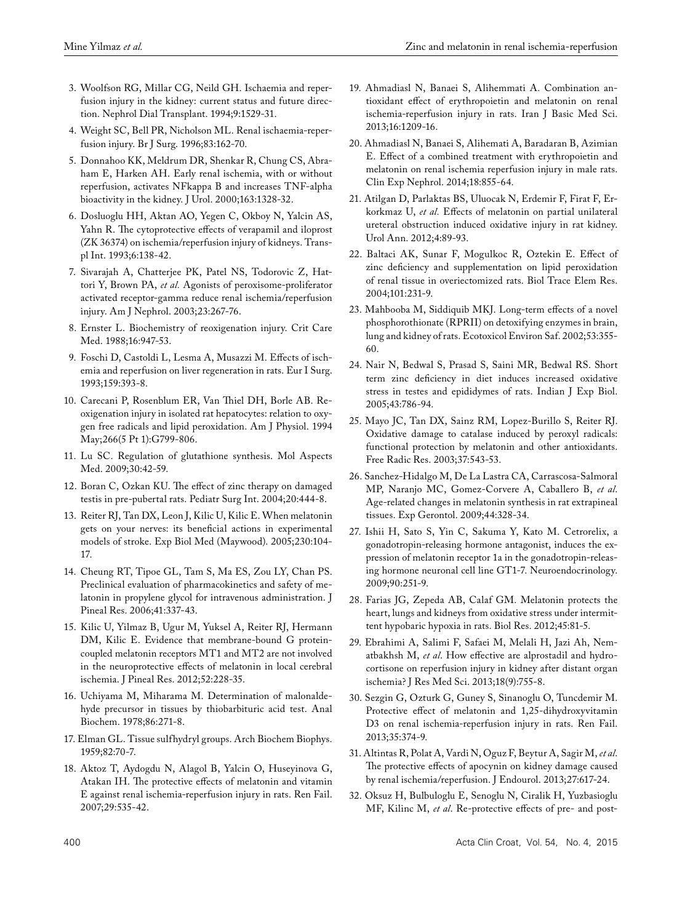- 3. Woolfson RG, Millar CG, Neild GH. Ischaemia and reperfusion injury in the kidney: current status and future direction. Nephrol Dial Transplant. 1994;9:1529-31.
- 4. Weight SC, Bell PR, Nicholson ML. Renal ischaemia-reperfusion injury. Br J Surg. 1996;83:162-70.
- 5. Donnahoo KK, Meldrum DR, Shenkar R, Chung CS, Abraham E, Harken AH. Early renal ischemia, with or without reperfusion, activates NFkappa B and increases TNF-alpha bioactivity in the kidney. J Urol. 2000;163:1328-32.
- 6. Dosluoglu HH, Aktan AO, Yegen C, Okboy N, Yalcin AS, Yahn R. The cytoprotective effects of verapamil and iloprost (ZK 36374) on ischemia/reperfusion injury of kidneys. Transpl Int. 1993;6:138-42.
- 7. Sivarajah A, Chatterjee PK, Patel NS, Todorovic Z, Hattori Y, Brown PA, *et al.* Agonists of peroxisome-proliferator activated receptor-gamma reduce renal ischemia/reperfusion injury. Am J Nephrol. 2003;23:267-76.
- 8. Ernster L. Biochemistry of reoxigenation injury. Crit Care Med. 1988;16:947-53.
- 9. Foschi D, Castoldi L, Lesma A, Musazzi M. Effects of ischemia and reperfusion on liver regeneration in rats. Eur I Surg. 1993;159:393-8.
- 10. Carecani P, Rosenblum ER, Van Thiel DH, Borle AB. Reoxigenation injury in isolated rat hepatocytes: relation to oxygen free radicals and lipid peroxidation. Am J Physiol. 1994 May;266(5 Pt 1):G799-806.
- 11. Lu SC. Regulation of glutathione synthesis. Mol Aspects Med. 2009;30:42-59.
- 12. Boran C, Ozkan KU. The effect of zinc therapy on damaged testis in pre-pubertal rats. Pediatr Surg Int. 2004;20:444-8.
- 13. Reiter RJ, Tan DX, Leon J, Kilic U, Kilic E. When melatonin gets on your nerves: its beneficial actions in experimental models of stroke. Exp Biol Med (Maywood). 2005;230:104- 17.
- 14. Cheung RT, Tipoe GL, Tam S, Ma ES, Zou LY, Chan PS. Preclinical evaluation of pharmacokinetics and safety of melatonin in propylene glycol for intravenous administration. J Pineal Res. 2006;41:337-43.
- 15. Kilic U, Yilmaz B, Ugur M, Yuksel A, Reiter RJ, Hermann DM, Kilic E. Evidence that membrane-bound G proteincoupled melatonin receptors MT1 and MT2 are not involved in the neuroprotective effects of melatonin in local cerebral ischemia. J Pineal Res. 2012;52:228-35.
- 16. Uchiyama M, Miharama M. Determination of malonaldehyde precursor in tissues by thiobarbituric acid test. Anal Biochem. 1978;86:271-8.
- 17. Elman GL. Tissue sulfhydryl groups. Arch Biochem Biophys. 1959;82:70-7.
- 18. Aktoz T, Aydogdu N, Alagol B, Yalcin O, Huseyinova G, Atakan IH. The protective effects of melatonin and vitamin E against renal ischemia-reperfusion injury in rats. Ren Fail. 2007;29:535-42.
- 19. Ahmadiasl N, Banaei S, Alihemmati A. Combination antioxidant effect of erythropoietin and melatonin on renal ischemia-reperfusion injury in rats. Iran J Basic Med Sci. 2013;16:1209-16.
- 20. Ahmadiasl N, Banaei S, Alihemati A, Baradaran B, Azimian E. Effect of a combined treatment with erythropoietin and melatonin on renal ischemia reperfusion injury in male rats. Clin Exp Nephrol. 2014;18:855-64.
- 21. Atilgan D, Parlaktas BS, Uluocak N, Erdemir F, Firat F, Erkorkmaz U, *et al.* Effects of melatonin on partial unilateral ureteral obstruction induced oxidative injury in rat kidney. Urol Ann. 2012;4:89-93.
- 22. Baltaci AK, Sunar F, Mogulkoc R, Oztekin E. Effect of zinc deficiency and supplementation on lipid peroxidation of renal tissue in overiectomized rats. Biol Trace Elem Res. 2004;101:231-9.
- 23. Mahbooba M, Siddiquib MKJ. Long-term effects of a novel phosphorothionate (RPRII) on detoxifying enzymes in brain, lung and kidney of rats. Ecotoxicol Environ Saf. 2002;53:355- 60.
- 24. Nair N, Bedwal S, Prasad S, Saini MR, Bedwal RS. Short term zinc deficiency in diet induces increased oxidative stress in testes and epididymes of rats. Indian J Exp Biol. 2005;43:786-94.
- 25. Mayo JC, Tan DX, Sainz RM, Lopez-Burillo S, Reiter RJ. Oxidative damage to catalase induced by peroxyl radicals: functional protection by melatonin and other antioxidants. Free Radic Res. 2003;37:543-53.
- 26. Sanchez-Hidalgo M, De La Lastra CA, Carrascosa-Salmoral MP, Naranjo MC, Gomez-Corvere A, Caballero B, *et al*. Age-related changes in melatonin synthesis in rat extrapineal tissues. Exp Gerontol. 2009;44:328-34.
- 27. Ishii H, Sato S, Yin C, Sakuma Y, Kato M. Cetrorelix, a gonadotropin-releasing hormone antagonist, induces the expression of melatonin receptor 1a in the gonadotropin-releasing hormone neuronal cell line GT1-7. Neuroendocrinology. 2009;90:251-9.
- 28. Farias JG, Zepeda AB, Calaf GM. Melatonin protects the heart, lungs and kidneys from oxidative stress under intermittent hypobaric hypoxia in rats. Biol Res. 2012;45:81-5.
- 29. Ebrahimi A, Salimi F, Safaei M, Melali H, Jazi Ah, Nematbakhsh M, *et al*. How effective are alprostadil and hydrocortisone on reperfusion injury in kidney after distant organ ischemia? J Res Med Sci. 2013;18(9):755-8.
- 30. Sezgin G, Ozturk G, Guney S, Sinanoglu O, Tuncdemir M. Protective effect of melatonin and 1,25-dihydroxyvitamin D3 on renal ischemia-reperfusion injury in rats. Ren Fail. 2013;35:374-9.
- 31. Altintas R, Polat A, Vardi N, Oguz F, Beytur A, Sagir M, *et al*. The protective effects of apocynin on kidney damage caused by renal ischemia/reperfusion. J Endourol. 2013;27:617-24.
- 32. Oksuz H, Bulbuloglu E, Senoglu N, Ciralik H, Yuzbasioglu MF, Kilinc M, *et al*. Re-protective effects of pre- and post-